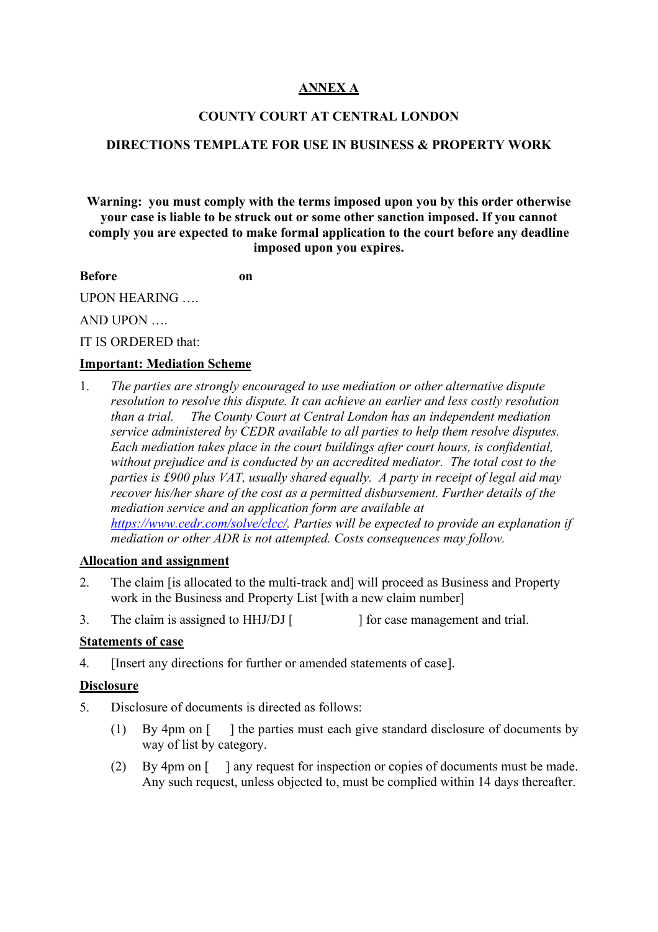# **ANNEX A**

#### **COUNTY COURT AT CENTRAL LONDON**

#### **DIRECTIONS TEMPLATE FOR USE IN BUSINESS & PROPERTY WORK**

**Warning: you must comply with the terms imposed upon you by this order otherwise your case is liable to be struck out or some other sanction imposed. If you cannot comply you are expected to make formal application to the court before any deadline imposed upon you expires.**

**Before on** 

UPON HEARING ….

AND UPON ….

IT IS ORDERED that:

#### **Important: Mediation Scheme**

1. *The parties are strongly encouraged to use mediation or other alternative dispute resolution to resolve this dispute. It can achieve an earlier and less costly resolution than a trial. The County Court at Central London has an independent mediation service administered by CEDR available to all parties to help them resolve disputes. Each mediation takes place in the court buildings after court hours, is confidential, without prejudice and is conducted by an accredited mediator. The total cost to the parties is £900 plus VAT, usually shared equally. A party in receipt of legal aid may recover his/her share of the cost as a permitted disbursement. Further details of the mediation service and an application form are available at [https://www.cedr.com/solve/clcc/.](https://www.cedr.com/solve/clcc/) Parties will be expected to provide an explanation if mediation or other ADR is not attempted. Costs consequences may follow.* 

#### **Allocation and assignment**

- 2. The claim [is allocated to the multi-track and] will proceed as Business and Property work in the Business and Property List [with a new claim number]
- 3. The claim is assigned to HHJ/DJ [ ] for case management and trial.
- 

#### **Statements of case**

4. [Insert any directions for further or amended statements of case].

#### **Disclosure**

- 5. Disclosure of documents is directed as follows:
	- (1) By 4pm on [ ] the parties must each give standard disclosure of documents by way of list by category.
	- (2) By 4pm on [ ] any request for inspection or copies of documents must be made. Any such request, unless objected to, must be complied within 14 days thereafter.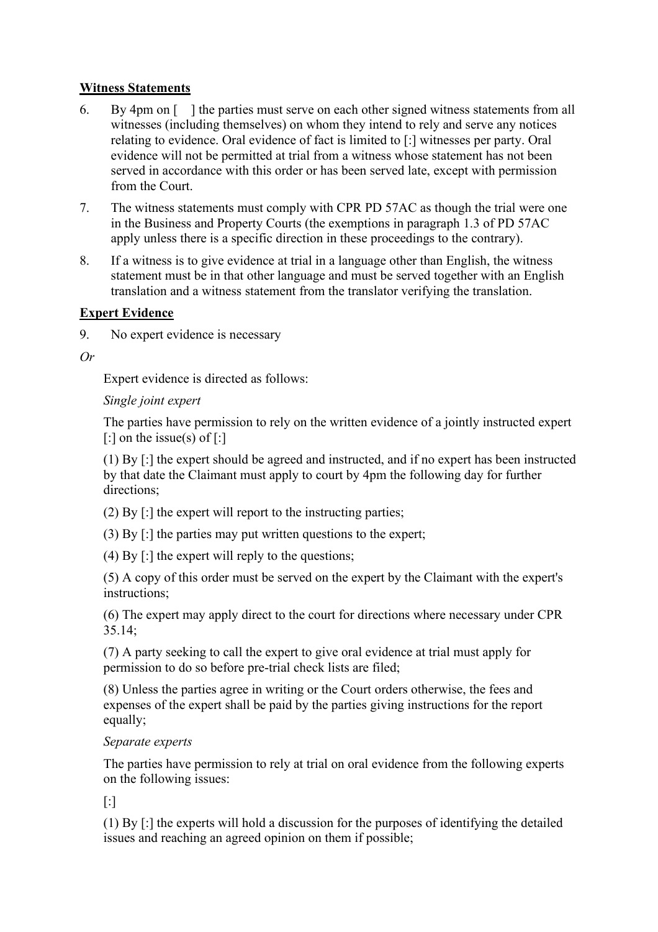## **Witness Statements**

- 6. By 4pm on [ ] the parties must serve on each other signed witness statements from all witnesses (including themselves) on whom they intend to rely and serve any notices relating to evidence. Oral evidence of fact is limited to [:] witnesses per party. Oral evidence will not be permitted at trial from a witness whose statement has not been served in accordance with this order or has been served late, except with permission from the Court.
- 7. The witness statements must comply with CPR PD 57AC as though the trial were one in the Business and Property Courts (the exemptions in paragraph 1.3 of PD 57AC apply unless there is a specific direction in these proceedings to the contrary).
- 8. If a witness is to give evidence at trial in a language other than English, the witness statement must be in that other language and must be served together with an English translation and a witness statement from the translator verifying the translation.

## **Expert Evidence**

9. No expert evidence is necessary

*Or* 

Expert evidence is directed as follows:

## *Single joint expert*

The parties have permission to rely on the written evidence of a jointly instructed expert  $\lceil$ : on the issue(s) of  $\lceil$ :

(1) By [:] the expert should be agreed and instructed, and if no expert has been instructed by that date the Claimant must apply to court by 4pm the following day for further directions;

(2) By [:] the expert will report to the instructing parties;

(3) By [:] the parties may put written questions to the expert;

(4) By [:] the expert will reply to the questions;

(5) A copy of this order must be served on the expert by the Claimant with the expert's instructions;

(6) The expert may apply direct to the court for directions where necessary under CPR 35.14;

(7) A party seeking to call the expert to give oral evidence at trial must apply for permission to do so before pre-trial check lists are filed;

(8) Unless the parties agree in writing or the Court orders otherwise, the fees and expenses of the expert shall be paid by the parties giving instructions for the report equally;

# *Separate experts*

The parties have permission to rely at trial on oral evidence from the following experts on the following issues:

[:]

(1) By [:] the experts will hold a discussion for the purposes of identifying the detailed issues and reaching an agreed opinion on them if possible;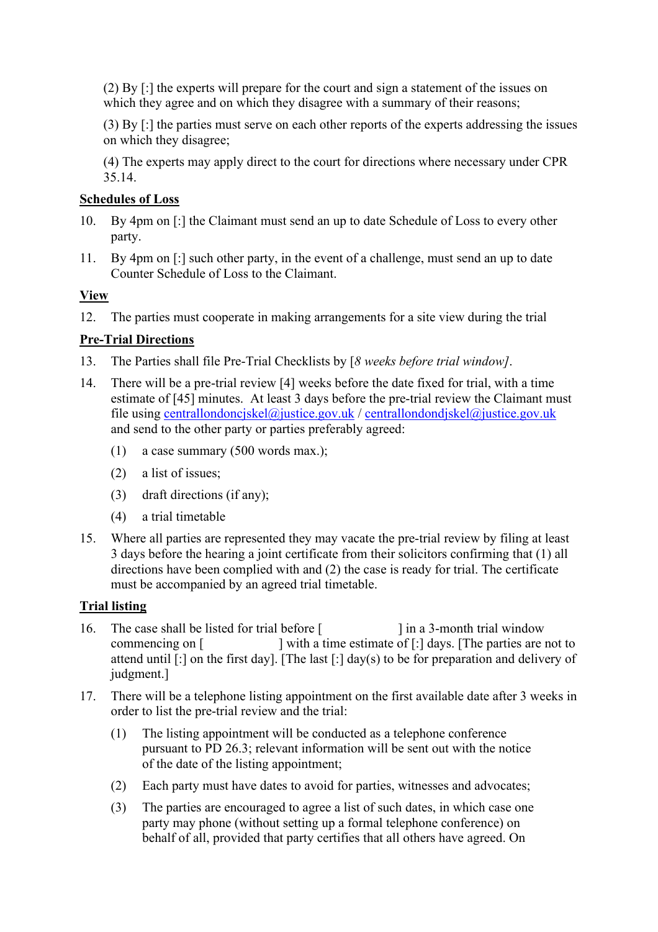(2) By [:] the experts will prepare for the court and sign a statement of the issues on which they agree and on which they disagree with a summary of their reasons;

(3) By [:] the parties must serve on each other reports of the experts addressing the issues on which they disagree;

(4) The experts may apply direct to the court for directions where necessary under CPR 35.14.

#### **Schedules of Loss**

- 10. By 4pm on [:] the Claimant must send an up to date Schedule of Loss to every other party.
- 11. By 4pm on [:] such other party, in the event of a challenge, must send an up to date Counter Schedule of Loss to the Claimant.

## **View**

12. The parties must cooperate in making arrangements for a site view during the trial

## **Pre-Trial Directions**

- 13. The Parties shall file Pre-Trial Checklists by [*8 weeks before trial window]*.
- 14. There will be a pre-trial review [4] weeks before the date fixed for trial, with a time estimate of [45] minutes. At least 3 days before the pre-trial review the Claimant must file using [centrallondoncjskel@justice.gov.uk](mailto:centrallondoncjskel@justice.gov.uk) / [centrallondondjskel@justice.gov.uk](mailto:centrallondondjskel@justice.gov.uk) and send to the other party or parties preferably agreed:
	- (1) a case summary (500 words max.);
	- (2) a list of issues;
	- (3) draft directions (if any);
	- (4) a trial timetable
- 15. Where all parties are represented they may vacate the pre-trial review by filing at least 3 days before the hearing a joint certificate from their solicitors confirming that (1) all directions have been complied with and (2) the case is ready for trial. The certificate must be accompanied by an agreed trial timetable.

#### **Trial listing**

- 16. The case shall be listed for trial before [ ] in a 3-month trial window commencing on [ ] with a time estimate of [:] days. [The parties are not to attend until [:] on the first day]. [The last [:] day(s) to be for preparation and delivery of judgment.]
- 17. There will be a telephone listing appointment on the first available date after 3 weeks in order to list the pre-trial review and the trial:
	- (1) The listing appointment will be conducted as a telephone conference pursuant to PD 26.3; relevant information will be sent out with the notice of the date of the listing appointment;
	- (2) Each party must have dates to avoid for parties, witnesses and advocates;
	- (3) The parties are encouraged to agree a list of such dates, in which case one party may phone (without setting up a formal telephone conference) on behalf of all, provided that party certifies that all others have agreed. On